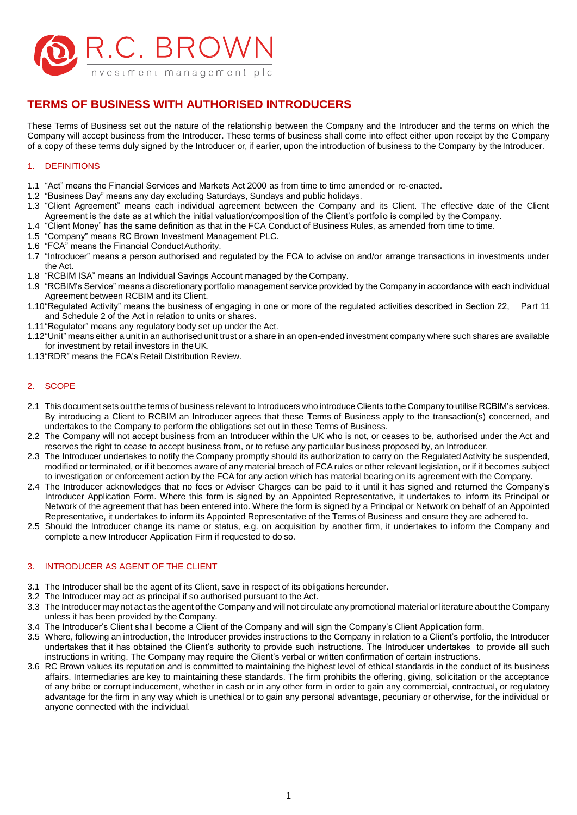

# **TERMS OF BUSINESS WITH AUTHORISED INTRODUCERS**

These Terms of Business set out the nature of the relationship between the Company and the Introducer and the terms on which the Company will accept business from the Introducer. These terms of business shall come into effect either upon receipt by the Company of a copy of these terms duly signed by the Introducer or, if earlier, upon the introduction of business to the Company by the Introducer.

## 1. DEFINITIONS

- 1.1 "Act" means the Financial Services and Markets Act 2000 as from time to time amended or re-enacted.
- 1.2 "Business Day" means any day excluding Saturdays, Sundays and public holidays.
- 1.3 "Client Agreement" means each individual agreement between the Company and its Client. The effective date of the Client Agreement is the date as at which the initial valuation/composition of the Client's portfolio is compiled by the Company.
- 1.4 "Client Money" has the same definition as that in the FCA Conduct of Business Rules, as amended from time to time.
- 1.5 "Company" means RC Brown Investment Management PLC.
- 1.6 "FCA" means the Financial ConductAuthority.
- 1.7 "Introducer" means a person authorised and regulated by the FCA to advise on and/or arrange transactions in investments under the Act.
- 1.8 "RCBIM ISA" means an Individual Savings Account managed by the Company.
- 1.9 "RCBIM's Service" means a discretionary portfolio management service provided by the Company in accordance with each individual Agreement between RCBIM and its Client.
- 1.10"Regulated Activity" means the business of engaging in one or more of the regulated activities described in Section 22, Part 11 and Schedule 2 of the Act in relation to units or shares.
- 1.11"Regulator" means any regulatory body set up under the Act.
- 1.12"Unit" means either a unit in an authorised unit trust or a share in an open-ended investment company where such shares are available for investment by retail investors in theUK.
- 1.13"RDR" means the FCA's Retail Distribution Review.

## 2. SCOPE

- 2.1 This document sets out the terms of business relevant to Introducers who introduce Clients to the Company to utilise RCBIM's services. By introducing a Client to RCBIM an Introducer agrees that these Terms of Business apply to the transaction(s) concerned, and undertakes to the Company to perform the obligations set out in these Terms of Business.
- 2.2 The Company will not accept business from an Introducer within the UK who is not, or ceases to be, authorised under the Act and reserves the right to cease to accept business from, or to refuse any particular business proposed by, an Introducer.
- 2.3 The Introducer undertakes to notify the Company promptly should its authorization to carry on the Regulated Activity be suspended, modified or terminated, or if it becomes aware of any material breach of FCArules or other relevant legislation, or if it becomes subject to investigation or enforcement action by the FCA for any action which has material bearing on its agreement with the Company.
- 2.4 The Introducer acknowledges that no fees or Adviser Charges can be paid to it until it has signed and returned the Company's Introducer Application Form. Where this form is signed by an Appointed Representative, it undertakes to inform its Principal or Network of the agreement that has been entered into. Where the form is signed by a Principal or Network on behalf of an Appointed Representative, it undertakes to inform its Appointed Representative of the Terms of Business and ensure they are adhered to.
- 2.5 Should the Introducer change its name or status, e.g. on acquisition by another firm, it undertakes to inform the Company and complete a new Introducer Application Firm if requested to do so.

## 3. INTRODUCER AS AGENT OF THE CLIENT

- 3.1 The Introducer shall be the agent of its Client, save in respect of its obligations hereunder.
- 3.2 The Introducer may act as principal if so authorised pursuant to the Act.
- 3.3 The Introducer may not act as the agent of the Company and will not circulate any promotional material or literature about the Company unless it has been provided by the Company.
- 3.4 The Introducer's Client shall become a Client of the Company and will sign the Company's Client Application form.
- 3.5 Where, following an introduction, the Introducer provides instructions to the Company in relation to a Client's portfolio, the Introducer undertakes that it has obtained the Client's authority to provide such instructions. The Introducer undertakes to provide all such instructions in writing. The Company may require the Client's verbal or written confirmation of certain instructions.
- 3.6 RC Brown values its reputation and is committed to maintaining the highest level of ethical standards in the conduct of its business affairs. Intermediaries are key to maintaining these standards. The firm prohibits the offering, giving, solicitation or the acceptance of any bribe or corrupt inducement, whether in cash or in any other form in order to gain any commercial, contractual, or regulatory advantage for the firm in any way which is unethical or to gain any personal advantage, pecuniary or otherwise, for the individual or anyone connected with the individual.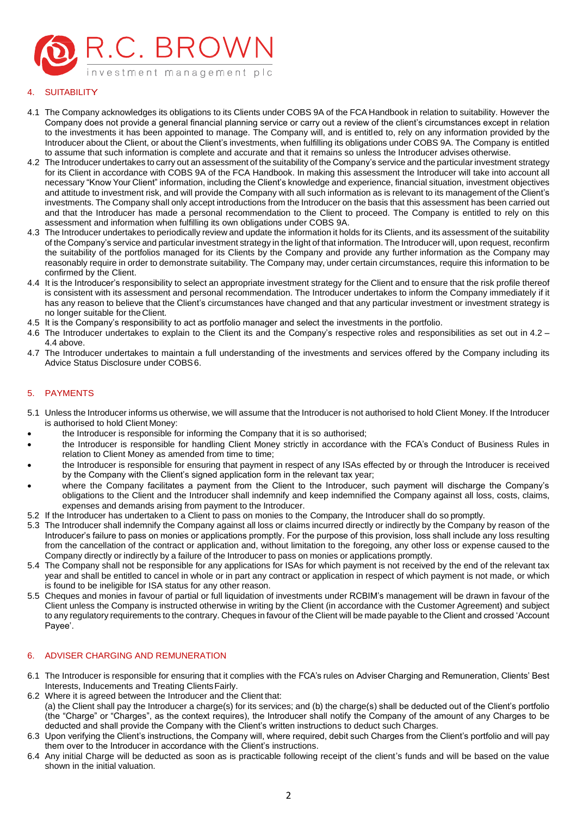

# **SUITABILITY**

- 4.1 The Company acknowledges its obligations to its Clients under COBS 9A of the FCA Handbook in relation to suitability. However the Company does not provide a general financial planning service or carry out a review of the client's circumstances except in relation to the investments it has been appointed to manage. The Company will, and is entitled to, rely on any information provided by the Introducer about the Client, or about the Client's investments, when fulfilling its obligations under COBS 9A. The Company is entitled to assume that such information is complete and accurate and that it remains so unless the Introducer advises otherwise.
- 4.2 The Introducer undertakes to carry out an assessment of the suitability of the Company's service and the particular investment strategy for its Client in accordance with COBS 9A of the FCA Handbook. In making this assessment the Introducer will take into account all necessary "Know Your Client" information, including the Client's knowledge and experience, financial situation, investment objectives and attitude to investment risk, and will provide the Company with all such information as is relevant to its management of the Client's investments. The Company shall only accept introductions from the Introducer on the basis that this assessment has been carried out and that the Introducer has made a personal recommendation to the Client to proceed. The Company is entitled to rely on this assessment and information when fulfilling its own obligations under COBS 9A.
- 4.3 The Introducer undertakes to periodically review and update the information it holds for its Clients, and its assessment of the suitability of the Company's service and particular investment strategy in the light of that information. The Introducer will, upon request, reconfirm the suitability of the portfolios managed for its Clients by the Company and provide any further information as the Company may reasonably require in order to demonstrate suitability. The Company may, under certain circumstances, require this information to be confirmed by the Client.
- 4.4 It is the Introducer's responsibility to select an appropriate investment strategy for the Client and to ensure that the risk profile thereof is consistent with its assessment and personal recommendation. The Introducer undertakes to inform the Company immediately if it has any reason to believe that the Client's circumstances have changed and that any particular investment or investment strategy is no longer suitable for the Client.
- 4.5 It is the Company's responsibility to act as portfolio manager and select the investments in the portfolio.
- 4.6 The Introducer undertakes to explain to the Client its and the Company's respective roles and responsibilities as set out in 4.2 4.4 above.
- 4.7 The Introducer undertakes to maintain a full understanding of the investments and services offered by the Company including its Advice Status Disclosure under COBS6.

## 5. PAYMENTS

- 5.1 Unless the Introducer informs us otherwise, we will assume that the Introducer is not authorised to hold Client Money. If the Introducer is authorised to hold Client Money:
- the Introducer is responsible for informing the Company that it is so authorised;
- the Introducer is responsible for handling Client Money strictly in accordance with the FCA's Conduct of Business Rules in relation to Client Money as amended from time to time;
- the Introducer is responsible for ensuring that payment in respect of any ISAs effected by or through the Introducer is received by the Company with the Client's signed application form in the relevant tax year;
- where the Company facilitates a payment from the Client to the Introducer, such payment will discharge the Company's obligations to the Client and the Introducer shall indemnify and keep indemnified the Company against all loss, costs, claims, expenses and demands arising from payment to the Introducer.
- 5.2 If the Introducer has undertaken to a Client to pass on monies to the Company, the Introducer shall do so promptly.
- 5.3 The Introducer shall indemnify the Company against all loss or claims incurred directly or indirectly by the Company by reason of the Introducer's failure to pass on monies or applications promptly. For the purpose of this provision, loss shall include any loss resulting from the cancellation of the contract or application and, without limitation to the foregoing, any other loss or expense caused to the Company directly or indirectly by a failure of the Introducer to pass on monies or applications promptly.
- 5.4 The Company shall not be responsible for any applications for ISAs for which payment is not received by the end of the relevant tax year and shall be entitled to cancel in whole or in part any contract or application in respect of which payment is not made, or which is found to be ineligible for ISA status for any other reason.
- 5.5 Cheques and monies in favour of partial or full liquidation of investments under RCBIM's management will be drawn in favour of the Client unless the Company is instructed otherwise in writing by the Client (in accordance with the Customer Agreement) and subject to any regulatory requirements to the contrary. Cheques in favour of the Client will be made payable to the Client and crossed 'Account Payee'.

## 6. ADVISER CHARGING AND REMUNERATION

- 6.1 The Introducer is responsible for ensuring that it complies with the FCA's rules on Adviser Charging and Remuneration, Clients' Best Interests, Inducements and Treating Clients Fairly.
- 6.2 Where it is agreed between the Introducer and the Client that: (a) the Client shall pay the Introducer a charge(s) for its services; and (b) the charge(s) shall be deducted out of the Client's portfolio (the "Charge" or "Charges", as the context requires), the Introducer shall notify the Company of the amount of any Charges to be deducted and shall provide the Company with the Client's written instructions to deduct such Charges.
- 6.3 Upon verifying the Client's instructions, the Company will, where required, debit such Charges from the Client's portfolio and will pay them over to the Introducer in accordance with the Client's instructions.
- 6.4 Any initial Charge will be deducted as soon as is practicable following receipt of the client's funds and will be based on the value shown in the initial valuation.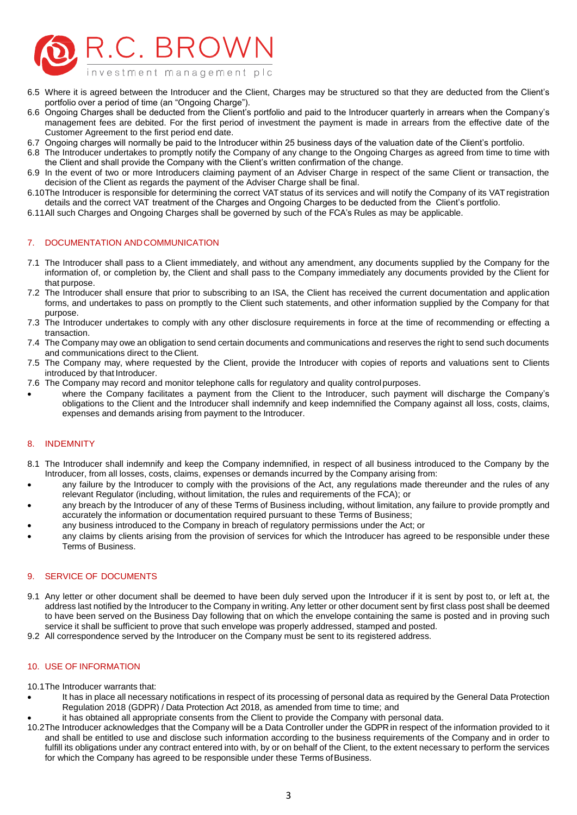

- 6.5 Where it is agreed between the Introducer and the Client, Charges may be structured so that they are deducted from the Client's portfolio over a period of time (an "Ongoing Charge").
- 6.6 Ongoing Charges shall be deducted from the Client's portfolio and paid to the Introducer quarterly in arrears when the Company's management fees are debited. For the first period of investment the payment is made in arrears from the effective date of the Customer Agreement to the first period end date.
- 6.7 Ongoing charges will normally be paid to the Introducer within 25 business days of the valuation date of the Client's portfolio.
- 6.8 The Introducer undertakes to promptly notify the Company of any change to the Ongoing Charges as agreed from time to time with the Client and shall provide the Company with the Client's written confirmation of the change.
- 6.9 In the event of two or more Introducers claiming payment of an Adviser Charge in respect of the same Client or transaction, the decision of the Client as regards the payment of the Adviser Charge shall be final.
- 6.10The Introducer is responsible for determining the correct VATstatus of its services and will notify the Company of its VAT registration details and the correct VAT treatment of the Charges and Ongoing Charges to be deducted from the Client's portfolio.
- 6.11All such Charges and Ongoing Charges shall be governed by such of the FCA's Rules as may be applicable.

#### 7. DOCUMENTATION ANDCOMMUNICATION

- 7.1 The Introducer shall pass to a Client immediately, and without any amendment, any documents supplied by the Company for the information of, or completion by, the Client and shall pass to the Company immediately any documents provided by the Client for that purpose.
- 7.2 The Introducer shall ensure that prior to subscribing to an ISA, the Client has received the current documentation and application forms, and undertakes to pass on promptly to the Client such statements, and other information supplied by the Company for that purpose.
- 7.3 The Introducer undertakes to comply with any other disclosure requirements in force at the time of recommending or effecting a transaction.
- 7.4 The Company may owe an obligation to send certain documents and communications and reserves the right to send such documents and communications direct to the Client.
- 7.5 The Company may, where requested by the Client, provide the Introducer with copies of reports and valuations sent to Clients introduced by that Introducer.
- 7.6 The Company may record and monitor telephone calls for regulatory and quality control purposes.
- where the Company facilitates a payment from the Client to the Introducer, such payment will discharge the Company's obligations to the Client and the Introducer shall indemnify and keep indemnified the Company against all loss, costs, claims, expenses and demands arising from payment to the Introducer.

## 8. INDEMNITY

- 8.1 The Introducer shall indemnify and keep the Company indemnified, in respect of all business introduced to the Company by the Introducer, from all losses, costs, claims, expenses or demands incurred by the Company arising from:
- any failure by the Introducer to comply with the provisions of the Act, any regulations made thereunder and the rules of any relevant Regulator (including, without limitation, the rules and requirements of the FCA); or
- any breach by the Introducer of any of these Terms of Business including, without limitation, any failure to provide promptly and accurately the information or documentation required pursuant to these Terms of Business;
- any business introduced to the Company in breach of regulatory permissions under the Act; or
- any claims by clients arising from the provision of services for which the Introducer has agreed to be responsible under these Terms of Business.

#### 9. SERVICE OF DOCUMENTS

- 9.1 Any letter or other document shall be deemed to have been duly served upon the Introducer if it is sent by post to, or left at, the address last notified by the Introducer to the Company in writing. Any letter or other document sent by first class post shall be deemed to have been served on the Business Day following that on which the envelope containing the same is posted and in proving such service it shall be suffìcient to prove that such envelope was properly addressed, stamped and posted.
- 9.2 All correspondence served by the Introducer on the Company must be sent to its registered address.

#### 10. USE OF INFORMATION

10.1The Introducer warrants that:

- It has in place all necessary notifications in respect of its processing of personal data as required by the General Data Protection Regulation 2018 (GDPR) / Data Protection Act 2018, as amended from time to time; and
- it has obtained all appropriate consents from the Client to provide the Company with personal data.
- 10.2The Introducer acknowledges that the Company will be a Data Controller under the GDPR in respect of the information provided to it and shall be entitled to use and disclose such information according to the business requirements of the Company and in order to fulfill its obligations under any contract entered into with, by or on behalf of the Client, to the extent necessary to perform the services for which the Company has agreed to be responsible under these Terms of Business.